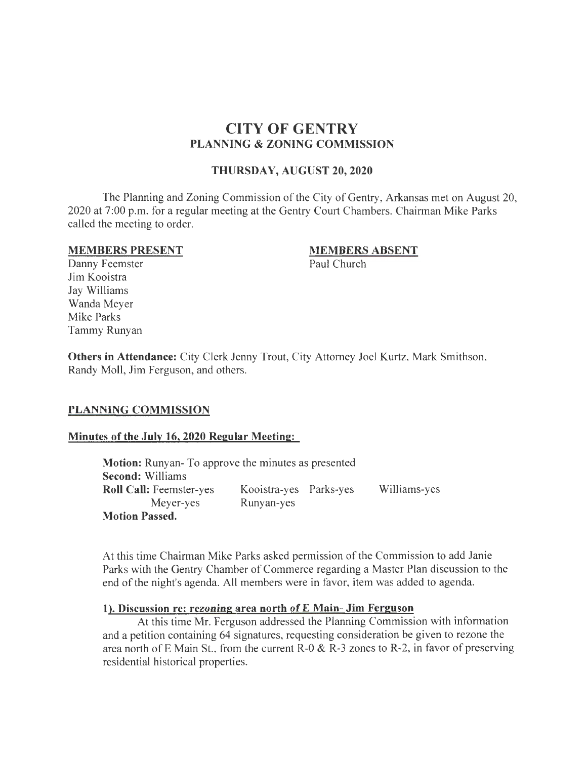# **CITY OF GENTRY PLANNING & ZONING COMMISSION.**

#### **THURSDAY, AUGUST 20, 2020**

The Planning and Zoning Commission of the City of Gentry, Arkansas met on August 20, 2020 at 7:00 p.m. for a regular meeting at the Gentry Court Chambers. Chairman Mike Parks called the meeting to order.

#### **MEMBERS PRESENT**

#### **MEMBERS ABSENT**

Paul Church

Danny Feemster Jim Kooistra Jay Williams Wanda Meyer Mike Parks Tammy Runyan

**Others in Attendance:** City Clerk Jenny Trout, City Attorney Joel Kurtz, Mark Smithson, Randy Moll, Jim Ferguson, and others.

## **PLANNING COMMISSION**

## **Minutes of the July 16, 2020 Regular Meeting:**

**Motion:** Runyan- To approve the minutes as presented **Second:** Williams **Roll Call:** Feemster-yes Meyer-yes **Motion Passed.**  Kooistra-yes Parks-yes Runyan-yes Williams-yes

At this time Chairman Mike Parks asked permission of the Commission to add Janie Parks with the Gentry Chamber of Commerce regarding a Master Plan discussion to the end of the night's agenda. All members were in favor, item was added to agenda.

#### **1). Discussion re: rezoning area north of E Main- Jim Ferguson**

At this time Mr. Ferguson addressed the Planning Commission with information and a petition containing 64 signatures, requesting consideration be given to rezone the area north of E Main St., from the current R-0  $\&$  R-3 zones to R-2, in favor of preserving residential historical properties.